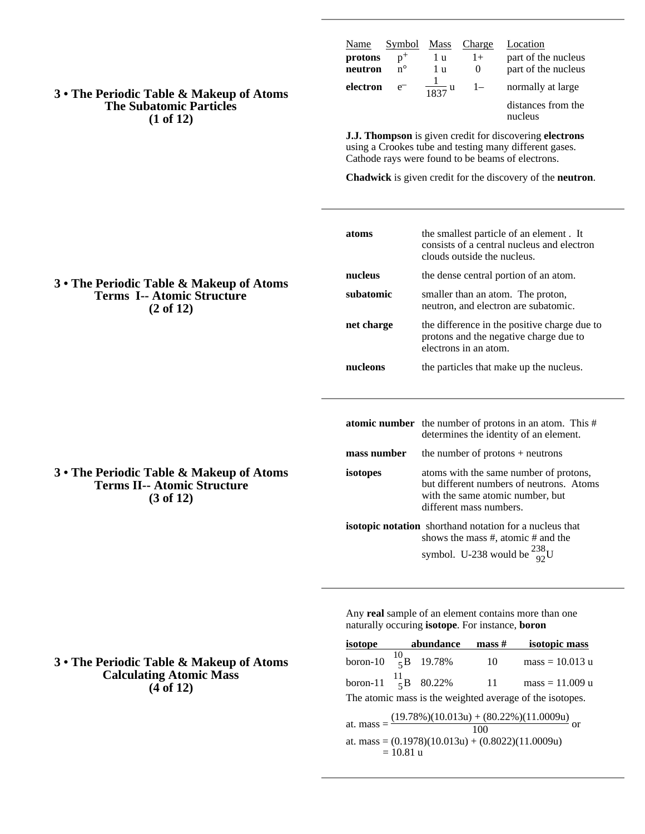**3 • The Periodic Table & Makeup of Atoms The Subatomic Particles (1 of 12)**

| Name               | Symbol                 | <b>Mass</b>      | Charge | Location                                   |
|--------------------|------------------------|------------------|--------|--------------------------------------------|
| protons<br>neutron | $n^{+}$<br>$n^{\circ}$ | l u<br>1 บ       | $1+$   | part of the nucleus<br>part of the nucleus |
| electron           | $e^{-}$                | $\frac{1837}{u}$ | $1-$   | normally at large                          |
|                    |                        |                  |        | distances from the<br>nucleus              |

**J.J. Thompson** is given credit for discovering **electrons** using a Crookes tube and testing many different gases. Cathode rays were found to be beams of electrons.

**Chadwick** is given credit for the discovery of the **neutron**.

|                   | atoms       | the smallest particle of an element. It<br>consists of a central nucleus and electron<br>clouds outside the nucleus.                              |  |  |
|-------------------|-------------|---------------------------------------------------------------------------------------------------------------------------------------------------|--|--|
| of Atoms          | nucleus     | the dense central portion of an atom.                                                                                                             |  |  |
| ıre               | subatomic   | smaller than an atom. The proton,<br>neutron, and electron are subatomic.                                                                         |  |  |
|                   | net charge  | the difference in the positive charge due to<br>protons and the negative charge due to<br>electrons in an atom.                                   |  |  |
|                   | nucleons    | the particles that make up the nucleus.                                                                                                           |  |  |
|                   |             | <b>atomic number</b> the number of protons in an atom. This $#$<br>determines the identity of an element.                                         |  |  |
|                   | mass number | the number of protons $+$ neutrons                                                                                                                |  |  |
| o of Atoms<br>ıre | isotopes    | atoms with the same number of protons,<br>but different numbers of neutrons. Atoms<br>with the same atomic number, but<br>different mass numbers. |  |  |
|                   |             | isotopic notation shorthand notation for a nucleus that<br>shows the mass #, atomic # and the<br>symbol. U-238 would be $^{238}_{92}$ U           |  |  |

Any **real** sample of an element contains more than one naturally occuring **isotope**. For instance, **boron**

|                                                                                                                                            |  | isotope abundance | $\mathbf{mass} \#$ | isotopic mass     |  |  |  |
|--------------------------------------------------------------------------------------------------------------------------------------------|--|-------------------|--------------------|-------------------|--|--|--|
| boron-10 $^{10}_{5}$ B 19.78%                                                                                                              |  |                   | 10                 | $mass = 10.013 u$ |  |  |  |
| boron-11 $^{11}_{5}$ B 80.22%                                                                                                              |  |                   | $\sim$ 11          | $mass = 11.009 u$ |  |  |  |
| The atomic mass is the weighted average of the isotopes.                                                                                   |  |                   |                    |                   |  |  |  |
| at. mass = $\frac{(19.78\%)(10.013u) + (80.22\%)(11.0009u)}{100}$ or<br>at. mass = $(0.1978)(10.013u) + (0.8022)(11.0009u)$<br>$= 10.81$ u |  |                   |                    |                   |  |  |  |

**3 • The Periodic Table & Makeup Terms I-- Atomic Structure (2 of 12)**

**3 • The Periodic Table & Makeup Terms II-- Atomic Structure (3 of 12)**

## **3 • The Periodic Table & Makeup of Atoms Calculating Atomic Mass (4 of 12)**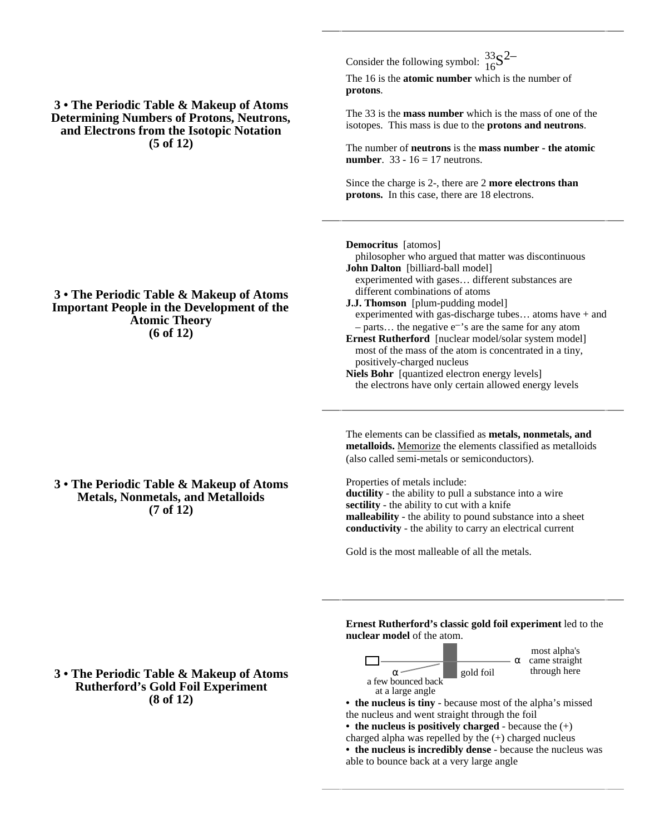**3 • The Periodic Table & Makeup of Atoms Determining Numbers of Protons, Neutrons, and Electrons from the Isotopic Notation (5 of 12)**

**3 • The Periodic Table & Makeup of Atoms Important People in the Development of the Atomic Theory (6 of 12)**

**3 • The Periodic Table & Makeup of Atoms Metals, Nonmetals, and Metalloids (7 of 12)**

Consider the following symbol:  $\frac{33}{16}S^2$ 

The 16 is the **atomic number** which is the number of **protons**.

The 33 is the **mass number** which is the mass of one of the isotopes. This mass is due to the **protons and neutrons**.

The number of **neutrons** is the **mass number - the atomic number.** 33 - 16 = 17 neutrons.

Since the charge is 2-, there are 2 **more electrons than protons.** In this case, there are 18 electrons.

**Democritus** [atomos]

philosopher who argued that matter was discontinuous **John Dalton** [billiard-ball model] experimented with gases… different substances are different combinations of atoms

**J.J. Thomson** [plum-pudding model] experimented with gas-discharge tubes… atoms have + and – parts... the negative  $e^{-t}$ 's are the same for any atom

**Ernest Rutherford** [nuclear model/solar system model] most of the mass of the atom is concentrated in a tiny, positively-charged nucleus

**Niels Bohr** [quantized electron energy levels] the electrons have only certain allowed energy levels

The elements can be classified as **metals, nonmetals, and metalloids.** Memorize the elements classified as metalloids (also called semi-metals or semiconductors).

Properties of metals include: **ductility** - the ability to pull a substance into a wire **sectility** - the ability to cut with a knife **malleability** - the ability to pound substance into a sheet **conductivity** - the ability to carry an electrical current

Gold is the most malleable of all the metals.

**Ernest Rutherford's classic gold foil experiment** led to the **nuclear model** of the atom.



most alpha's came straight through here

**• the nucleus is tiny** - because most of the alpha's missed the nucleus and went straight through the foil

**• the nucleus is positively charged** - because the (+) charged alpha was repelled by the (+) charged nucleus **• the nucleus is incredibly dense** - because the nucleus was able to bounce back at a very large angle

## **3 • The Periodic Table & Makeup of Atoms Rutherford's Gold Foil Experiment (8 of 12)**